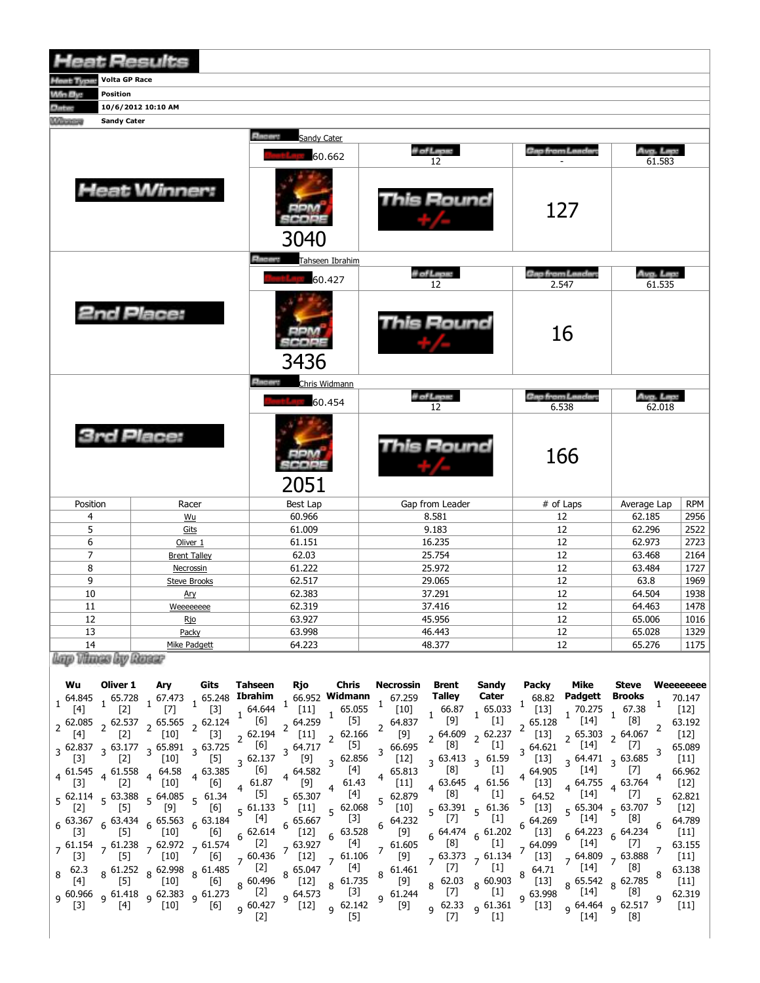| <b>Heat Results</b>                                 |                           |                                    |                  |                                  |                     |            |
|-----------------------------------------------------|---------------------------|------------------------------------|------------------|----------------------------------|---------------------|------------|
| <b>Home Theme</b> Volta GP Race                     |                           |                                    |                  |                                  |                     |            |
| Wh By:<br>Position                                  |                           |                                    |                  |                                  |                     |            |
| <b>Thiss</b>                                        | 10/6/2012 10:10 AM        |                                    |                  |                                  |                     |            |
| <b><i><u>Manazina</u></i></b><br><b>Sandy Cater</b> |                           |                                    |                  |                                  |                     |            |
|                                                     |                           | <b>Blazant</b><br>Sandy Cater      |                  |                                  |                     |            |
|                                                     |                           | 60.662                             | # of Laps:<br>12 | <u>Gao from Leaders</u>          | Avg. Lap:<br>61.583 |            |
|                                                     | <b>Heat Winner:</b>       | 3040                               | This Round       | 127                              |                     |            |
|                                                     |                           | <b>Electric</b><br>Tahseen Ibrahim |                  |                                  |                     |            |
|                                                     |                           | 60.427                             | # of Leps:<br>12 | <b>Cap from Landard</b><br>2.547 | Aug. Lap:<br>61.535 |            |
|                                                     | 2nd Place:                | 3436                               | his Round        | 16                               |                     |            |
|                                                     |                           | <b>Discove</b><br>Chris Widmann    |                  |                                  |                     |            |
|                                                     |                           | 60.454                             | # of Laps:<br>12 | <b>Gap from Leaders</b><br>6.538 | Avg. Lap:<br>62.018 |            |
|                                                     | <b>3rd Place:</b>         | 2051                               | his Round        | 166                              |                     |            |
| Position                                            | Racer                     | <b>Best Lap</b>                    | Gap from Leader  | # of Laps                        | Average Lap         | <b>RPM</b> |
| 4                                                   | Wu                        | 60.966                             | 8.581            | 12                               | 62.185              | 2956       |
| 5                                                   | Gits                      | 61.009                             | 9.183            | 12                               | 62.296              | 2522       |
| 6                                                   | Oliver 1                  | 61.151                             | 16.235           | 12                               | 62.973              | 2723       |
| $\overline{7}$                                      | <b>Brent Talley</b>       | 62.03                              | 25.754           | 12                               | 63.468              | 2164       |
| 8                                                   | Necrossin                 | 61.222                             | 25.972           | 12                               | 63.484              | 1727       |
| 9                                                   | <b>Steve Brooks</b>       | 62.517                             | 29.065           | 12                               | 63.8                | 1969       |
| 10                                                  | Ary                       | 62.383                             | 37.291           | 12                               | 64.504              | 1938       |
| 11                                                  | Weeeeeeee                 | 62.319                             | 37.416           | 12                               | 64.463              | 1478       |
| 12                                                  | Rio                       | 63.927                             | 45.956           | 12                               | 65.006              | 1016       |
| 13                                                  | Packy                     | 63.998                             | 46.443           | 12                               | 65.028              | 1329       |
| 14<br>Charters of the<br>and the seat               | Mike Padgett<br>and state | 64.223                             | 48.377           | 12                               | 65.276              | 1175       |

Lap Thuse by Rasar

| Wu                                         |                                                                                                                                                    |                                                                                                                                                                                                                                                                                                                                                                                                                                                                                                                                                                                                                                                                     | Oliver 1 Ary Gits Tahseen Rjo Chris Necrossin                                                                                                                                                                                                                                                                                                                                                                                                                                                                                                                                                                                                                                                                                                                                                                                                                                                                                                                                                                                                                                                                                                                                                                                                                                                                                                                                                  |                                                                                                            |                                                                                                                                                                                                                                                                                                                 | Brent                                                                                                         |                                                                                                                                                                              | Sandy Packy                            | Mike                                                                                                                                                                                                                                                                                                                                                                                                                                                                                                                                                                                                                                                                                                      |                                                    | Steve Weeeeeeee                                                                                                                                                                                                                                                                                                                                                                                                                                                                                                                                                                                                       |
|--------------------------------------------|----------------------------------------------------------------------------------------------------------------------------------------------------|---------------------------------------------------------------------------------------------------------------------------------------------------------------------------------------------------------------------------------------------------------------------------------------------------------------------------------------------------------------------------------------------------------------------------------------------------------------------------------------------------------------------------------------------------------------------------------------------------------------------------------------------------------------------|------------------------------------------------------------------------------------------------------------------------------------------------------------------------------------------------------------------------------------------------------------------------------------------------------------------------------------------------------------------------------------------------------------------------------------------------------------------------------------------------------------------------------------------------------------------------------------------------------------------------------------------------------------------------------------------------------------------------------------------------------------------------------------------------------------------------------------------------------------------------------------------------------------------------------------------------------------------------------------------------------------------------------------------------------------------------------------------------------------------------------------------------------------------------------------------------------------------------------------------------------------------------------------------------------------------------------------------------------------------------------------------------|------------------------------------------------------------------------------------------------------------|-----------------------------------------------------------------------------------------------------------------------------------------------------------------------------------------------------------------------------------------------------------------------------------------------------------------|---------------------------------------------------------------------------------------------------------------|------------------------------------------------------------------------------------------------------------------------------------------------------------------------------|----------------------------------------|-----------------------------------------------------------------------------------------------------------------------------------------------------------------------------------------------------------------------------------------------------------------------------------------------------------------------------------------------------------------------------------------------------------------------------------------------------------------------------------------------------------------------------------------------------------------------------------------------------------------------------------------------------------------------------------------------------------|----------------------------------------------------|-----------------------------------------------------------------------------------------------------------------------------------------------------------------------------------------------------------------------------------------------------------------------------------------------------------------------------------------------------------------------------------------------------------------------------------------------------------------------------------------------------------------------------------------------------------------------------------------------------------------------|
| $\lfloor 3 \rfloor$<br>$8^{62.3}$<br>$[4]$ | $\begin{bmatrix}3\end{bmatrix}$ (2)<br>$\begin{bmatrix}3\end{bmatrix}$ $\begin{bmatrix}2\end{bmatrix}$<br>[5]<br>$\begin{bmatrix} 5 \end{bmatrix}$ | 2 62.085 2 62.537 2 65.565 2 62.124 $^{1}$ [6]<br>[4] 2 [2] 2 [10] 2 [3] 2 62.194<br>$3\begin{array}{cc} 62.837 & 3\begin{array}{c} 63.177 \\ 131 & 3\end{array} & 3\begin{array}{c} 65.891 \\ 1401 & 3\end{array} & 63.725 \end{array}$<br>$[10]$ $\check{\phantom{a}}$ $[5]$<br>$4\begin{array}{cccc} 61.545 & 4 & 61.558 & 4 & 64.58 & 4 & 63.385 \\ 521 & 4 & 533 & 4 & 5481 & 4 & 563 \end{array}$<br>$\begin{bmatrix} 10 \end{bmatrix}$ $\begin{bmatrix} 6 \end{bmatrix}$<br>7 $61.154$ 7 $61.238$ 7 $62.972$ 7 $61.574$ [2]<br>$\left[10\right]$ $\left[6\right]$<br>$8\substack{61.252\\1.252}$ $8\substack{62.998\\1.25}$ $8\substack{61.485\\1.25}$ $[2]$ | $1\begin{array}{c c c c c c c c c} \n164.845 & 1 & 65.728 & 1 & 67.473 & 1 & 65.248 & \textbf{I} \n\end{array}$ <b>EVALUATE:</b> The case of the case of the case of the case of the case of the case of the case of the case of the case of the<br>2 64.259<br>$2^{62.194}$ [11] $2^{62.166}$<br>$3\begin{bmatrix} 62.137 & 3 \\ 12 \end{bmatrix}$ [9] $3\begin{bmatrix} 62.856 & 3 \\ 12 \end{bmatrix}$ [12]<br>$5\begin{array}{c ccccc} 5 & 62.114 & 5 & 63.388 \\ 21 & 5 & 5 & 5 \\ 12 & 5 & 5 & 5 \\ 12 & 12 & 12 & 12 \\ 12 & 12 & 12 & 12 \\ 12 & 12 & 12 & 12 \\ 12 & 12 & 12 & 12 \\ 12 & 12 & 12 & 12 \\ 12 & 12 & 12 & 12 \\ 12 & 12 & 12 & 12 \\ 12 & 12 & 12 & 12 & 12 \\ 12 & 12 & 12 & 12 & 12 \\ 12 & 12 & $<br>$5^{61.133}$<br>6 63.367 6 63.434 6 65.563 6 63.184 <sup>5</sup> [4] 6 65.667 <sup>5</sup> [3]<br>[3] 5 [5] 6 [10] 6 [6] 6 62.614 <sup>6</sup> [12] 6 63.528<br>$[10]$ $[6]$ $[6]$ $[6]$ $[6]$ $[6]$ $[6]$ $[6]$ $[6]$ $[6]$ $[6]$ $[6]$ $[6]$ $[6]$ $[6]$ $[6]$ $[6]$ $[6]$ $[6]$ $[6]$ $[6]$ $[6]$ $[6]$ $[6]$ $[6]$ $[6]$ $[6]$ $[6]$ $[6]$ $[6]$ $[6]$ $[6]$ $[6]$ $[6]$ $[6]$ $[6]$ $[6]$<br>62.383 62.319 62.319 63.998 <sup>61</sup> 63.998 <sup>61</sup> 64.418 62.319 63.998 61.418 و 62.383 و 61.418 و 60.966 و 60.966 و 60.966 و<br>[11] <sup>9</sup> 62.319 64.464 62.517 و [12] و [12] و 60.427 و [12] و 60.427 و [10] و [10] و [4] [14] [4] [13] | $\begin{bmatrix} 5 \end{bmatrix}$<br>$3^{64.717}$ [5]<br>$\begin{bmatrix} 11 \\ -2 \end{bmatrix}$ 5 62.068 | $2^{64.837}$ [9]<br>$\sim$ [9]<br>$3\frac{66.695}{133}$ [8]<br>$5\begin{array}{cccc} 3 & 10 & 5 & 63.391 & 5 & 61.36 & 5 & 64.52 \\ 6 & 64.232 & 5 & 5 & 5 & 5 & 5 & 5 \\ 6 & 64.232 & 5 & 5 & 5 & 5 & 5 \\ 6 & 64.269 & 5 & 5 & 5 & 5 \end{array}$<br>$\begin{bmatrix} 9 \end{bmatrix}$<br>$9\frac{61.244}{ }$ | $2^{64.609}$ $2^{62.237}$<br>$8\begin{array}{c}62.03\\57\end{array}$ $8\begin{array}{c}60.903\\51\end{array}$ | Talley Cater<br>raney Cater 68.82<br>1 66.87 1 65.033 <sup>1</sup> [13]<br>$\left[1\right]$<br>$[1]$<br>$3\begin{array}{cc} 63.413 & 3 & 61.59 \\ 1 & 3 & 51.59 \end{array}$ | $2^{65.128}$<br>$[13]$<br>[13]<br>[13] | $\uparrow$ [14] $\uparrow$ [8]<br>$2^{65.303}$ 2 64.067 $^2$<br>$3\frac{64.621}{54.62}$ [14] <sup>2</sup><br>$3\frac{64.471}{1141}$ $3\frac{63.685}{1141}$<br>$5\begin{matrix}64.52\end{matrix}$ [14] [7]<br>$5\begin{array}{l} 65.304 \ 5 \end{array}$ $5\begin{array}{l} 63.707 \ 5 \end{array}$<br>$6\frac{64.223}{1141}$ $6\frac{64.234}{17}$ $6\frac{64.234}{17}$<br>$\frac{1}{2}$ [14]<br>$7\begin{array}{c} 64.809 \\ 7 \end{array}$ $7\begin{array}{c} 63.888 \\ 7 \end{array}$ $7\begin{array}{c} 63.15 \\ 11 \end{array}$<br>$8\begin{array}{cc} 64.71 & [14] & [8] \end{array}$<br>$8\begin{array}{ccc} 65.542 & 8 & 62.785 \\ 141 & 8 & 62.785 \end{array}$<br>$^{\circ}$ [14] $^{\circ}$ [8] | Padgett Brooks<br>$[7]$<br>$[14] \quad [7]$<br>[7] | <b>raugell Brooks</b> 70.147<br>1 70.275 1 67.38 <sup>1</sup> [12]<br>63.192<br>$[12]$<br>65.089<br>[11]<br>66.962<br>$4\begin{array}{@{}c@{\hspace{1em}}c@{\hspace{1em}}c@{\hspace{1em}}c@{\hspace{1em}}c@{\hspace{1em}}c@{\hspace{1em}}c@{\hspace{1em}}c@{\hspace{1em}}c@{\hspace{1em}}c@{\hspace{1em}}c@{\hspace{1em}}c@{\hspace{1em}}c@{\hspace{1em}}c@{\hspace{1em}}c@{\hspace{1em}}c@{\hspace{1em}}c@{\hspace{1em}}c@{\hspace{1em}}c@{\hspace{1em}}c@{\hspace{1em}}c@{\hspace{1em}}c@{\hspace{1em}}c@{\hspace{1em}}c@{\hspace$<br>62.821<br>$5^{\circ}$<br>$[12]$<br>64.789<br>[11]<br>63.155<br>63.138<br>[11] |